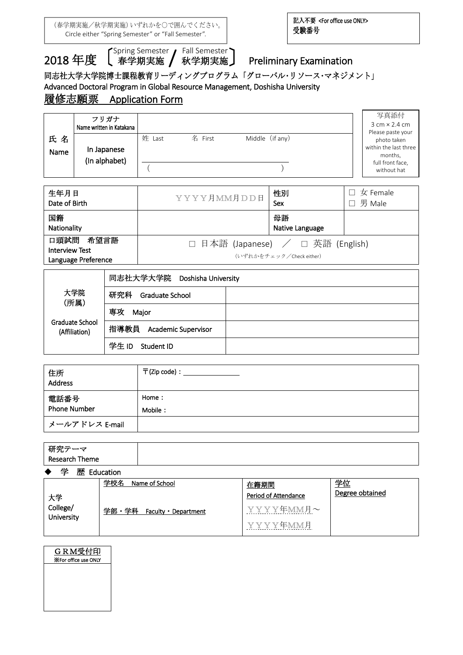(春学期実施/秋学期実施)いずれかを○で囲んでください。 Circle either "Spring Semester" or "Fall Semester".

 $\overline{a}$ 

2018 年度 【<sup>Spring Semester</sup> / Fall Semester<br>2018 年度 【 <sub>春学期実施</sub> / 秋学期実施

## Preliminary Examination

## 同志社大学大学院博士課程教育リーディングプログラム「グローバル・リソース・マネジメント」

Advanced Doctoral Program in Global Resource Management, Doshisha University

# 履修志願票 Application Form

|            | フリガナ                         |           |         |                 | 写真添付                                                                 |
|------------|------------------------------|-----------|---------|-----------------|----------------------------------------------------------------------|
|            | Name written in Katakana     |           |         |                 | $3 \text{ cm} \times 2.4 \text{ cm}$                                 |
| 氏名<br>Name | In Japanese<br>(In alphabet) | 姓<br>Last | 名 First | Middle (if any) | Please paste your<br>photo taken<br>within the last three<br>months, |
|            |                              |           |         |                 | full front face,<br>without hat                                      |

| 生年月日<br>Date of Birth                                        | YYYY月MM月DD日                                                   | 性別<br>Sex             | $\square$ 女 Female<br>男 Male |
|--------------------------------------------------------------|---------------------------------------------------------------|-----------------------|------------------------------|
| 国籍<br>Nationality                                            |                                                               | 母語<br>Native Language |                              |
| 口頭試問<br>希望言語<br><b>Interview Test</b><br>Language Preference | □ 日本語 (Japanese) / □ 英語 (English)<br>(いずれかをチェック/Check either) |                       |                              |

|                                  | 同志社大学大学院<br>Doshisha University |  |
|----------------------------------|---------------------------------|--|
| 大学院<br>(所属)                      | 研究科<br>Graduate School          |  |
|                                  | 専攻<br>Major                     |  |
| Graduate School<br>(Affiliation) | 指導教員 Academic Supervisor        |  |
|                                  | 学生ID<br>Student ID              |  |

| 住所<br>Address       | $\overline{\mathsf{T}}$ (Zip code) : _ |
|---------------------|----------------------------------------|
| 電話番号                | Home:                                  |
| <b>Phone Number</b> | Mobile:                                |
| メールアドレス E-mail      |                                        |

| 研究テーマ<br>Research Theme |  |                 |  |
|-------------------------|--|-----------------|--|
|                         |  | ◆ 学 歴 Education |  |

| .                      |                               |                      |                 |
|------------------------|-------------------------------|----------------------|-----------------|
|                        | 学校名<br>Name of School         | 在籍期間                 | 学位              |
| 大学                     |                               | Period of Attendance | Degree obtained |
| College/<br>University | 学部・学科<br>Faculty • Department | YYYY年MM月~            |                 |
|                        |                               | YYYY年MM月             |                 |

| GRM受付印                       |
|------------------------------|
| <b>X</b> For office use ONLY |

.<br>F  $\overline{\phantom{a}}$  $\overline{\phantom{a}}$  $\overline{\phantom{a}}$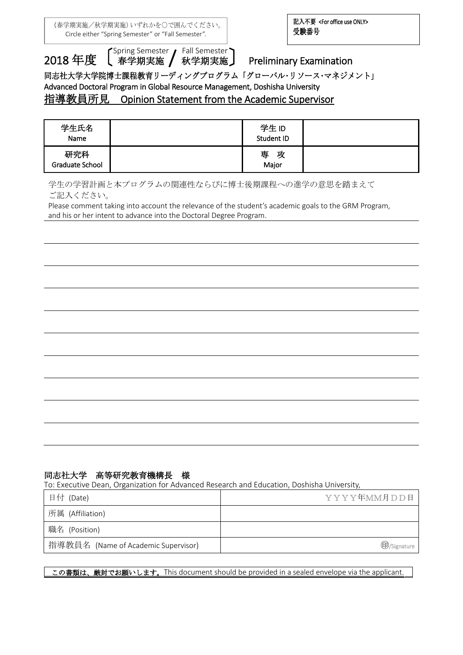(春学期実施/秋学期実施)いずれかを○で囲んでください。 Circle either "Spring Semester" or "Fall Semester".

 $\overline{a}$ 

2018 年度 【<sup>Spring Semester</sup> / Fall Semester<br>2018 年度 【 <sub>春学期実施</sub> / 秋学期実施

【<sup>Spring Semester</sup>】Fall Semester】<br>【 春学期実施 / 秋学期実施 】 Preliminary Examination

同志社大学大学院博士課程教育リーディングプログラム「グローバル・リソース・マネジメント」

Advanced Doctoral Program in Global Resource Management, Doshisha University

### 指導教員所見 Opinion Statement from the Academic Supervisor

| 学生氏名<br>Name           | 学生ID<br>Student ID |  |
|------------------------|--------------------|--|
| 研究科<br>Graduate School | 専<br>攻<br>Major    |  |

学生の学習計画と本プログラムの関連性ならびに博士後期課程への進学の意思を踏まえて ご記入ください。

Please comment taking into account the relevance of the student's academic goals to the GRM Program, and his or her intent to advance into the Doctoral Degree Program.

#### 同志社大学 高等研究教育機構長 様

To: Executive Dean, Organization for Advanced Research and Education, Doshisha University,

| 日付 (Date)                           | YYYY年MM月DD日         |
|-------------------------------------|---------------------|
| 所属 (Affiliation)                    |                     |
| 職名 (Position)                       |                     |
| 指導教員名 (Name of Academic Supervisor) | <b>D</b> /Signature |

この書類は、厳封でお願いします。This document should be provided in a sealed envelope via the applicant.